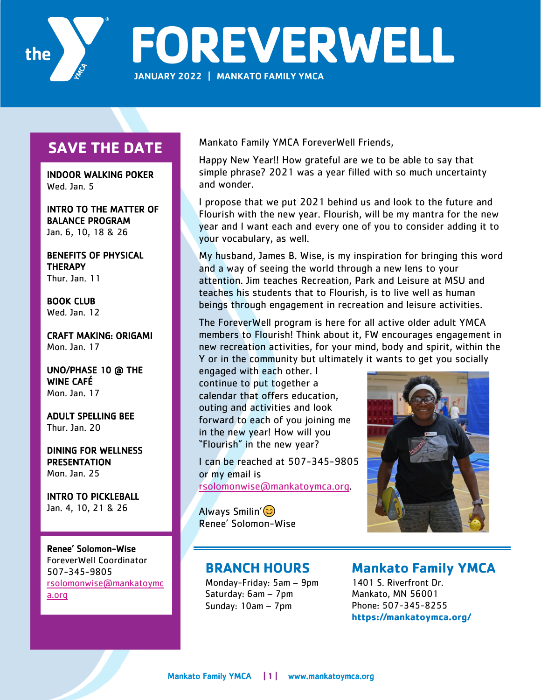

**FOREVERWELL** JANUARY 2022 | MANKATO FAMILY YMCA

## **SAVE THE DATE**

INDOOR WALKING POKER Wed. Jan. 5

INTRO TO THE MATTER OF BALANCE PROGRAM Jan. 6, 10, 18 & 26

BENEFITS OF PHYSICAL **THERAPY** Thur. Jan. 11

BOOK CLUB Wed. Jan. 12

CRAFT MAKING: ORIGAMI Mon. Jan. 17

UNO/PHASE 10 @ THE WINE CAFÉ Mon. Jan. 17

ADULT SPELLING BEE Thur. Jan. 20

DINING FOR WELLNESS **PRESENTATION** Mon. Jan. 25

INTRO TO PICKLEBALL Jan. 4, 10, 21 & 26

Renee' Solomon-Wise ForeverWell Coordinator 507-345-9805 rsolomonwise@mankatoymc a.org

Mankato Family YMCA ForeverWell Friends,

Happy New Year!! How grateful are we to be able to say that simple phrase? 2021 was a year filled with so much uncertainty and wonder.

I propose that we put 2021 behind us and look to the future and Flourish with the new year. Flourish, will be my mantra for the new year and I want each and every one of you to consider adding it to your vocabulary, as well.

My husband, James B. Wise, is my inspiration for bringing this word and a way of seeing the world through a new lens to your attention. Jim teaches Recreation, Park and Leisure at MSU and teaches his students that to Flourish, is to live well as human beings through engagement in recreation and leisure activities.

The ForeverWell program is here for all active older adult YMCA members to Flourish! Think about it, FW encourages engagement in new recreation activities, for your mind, body and spirit, within the Y or in the community but ultimately it wants to get you socially

engaged with each other. I continue to put together a calendar that offers education, outing and activities and look forward to each of you joining me in the new year! How will you "Flourish" in the new year?

I can be reached at 507-345-9805 or my email is rsolomonwise@mankatoymca.org.

Always Smilin'  $\circledcirc$ Renee' Solomon-Wise



### **BRANCH HOURS**

Monday-Friday: 5am – 9pm Saturday: 6am – 7pm Sunday: 10am – 7pm

## **Mankato Family YMCA**

1401 S. Riverfront Dr. Mankato, MN 56001 Phone: 507-345-8255 **https://mankatoymca.org/**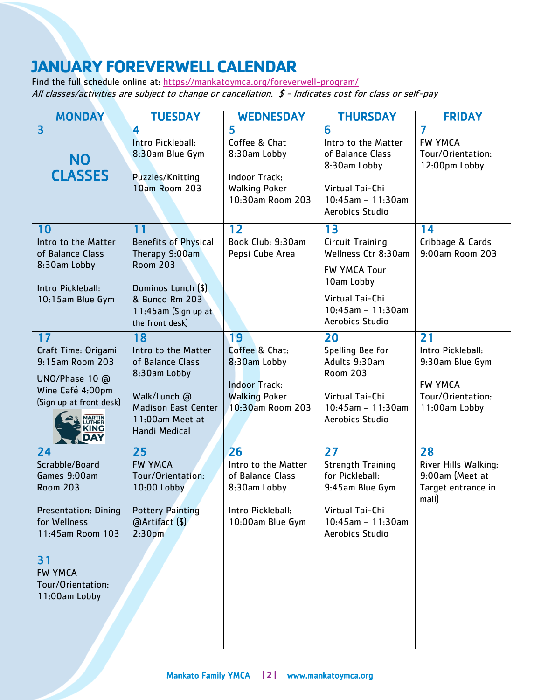# **JANUARY FOREVERWELL CALENDAR**

Find the full schedule online at: https://mankatoymca.org/foreverwell-program/ All classes/activities are subject to change or cancellation. \$ - Indicates cost for class or self-pay

| <b>MONDAY</b>                   | <b>TUESDAY</b>                          | <b>WEDNESDAY</b>     | <b>THURSDAY</b>                        | <b>FRIDAY</b>               |
|---------------------------------|-----------------------------------------|----------------------|----------------------------------------|-----------------------------|
| $\overline{\mathbf{3}}$         | 4                                       | 5                    | 6                                      | 7                           |
|                                 | Intro Pickleball:                       | Coffee & Chat        | Intro to the Matter                    | <b>FW YMCA</b>              |
| <b>NO</b>                       | 8:30am Blue Gym                         | 8:30am Lobby         | of Balance Class                       | Tour/Orientation:           |
|                                 |                                         |                      | 8:30am Lobby                           | 12:00pm Lobby               |
| <b>CLASSES</b>                  | Puzzles/Knitting                        | <b>Indoor Track:</b> |                                        |                             |
|                                 | <b>10am Room 203</b>                    | <b>Walking Poker</b> | Virtual Tai-Chi                        |                             |
|                                 |                                         | 10:30am Room 203     | $10:45am - 11:30am$<br>Aerobics Studio |                             |
|                                 |                                         |                      |                                        |                             |
| 10                              | 11                                      | 12                   | 13                                     | 14                          |
| Intro to the Matter             | <b>Benefits of Physical</b>             | Book Club: 9:30am    | <b>Circuit Training</b>                | Cribbage & Cards            |
| of Balance Class                | Therapy 9:00am                          | Pepsi Cube Area      | Wellness Ctr 8:30am                    | 9:00am Room 203             |
| 8:30am Lobby                    | <b>Room 203</b>                         |                      | <b>FW YMCA Tour</b>                    |                             |
| Intro Pickleball:               | Dominos Lunch (\$)                      |                      | 10am Lobby                             |                             |
| 10:15am Blue Gym                | & Bunco Rm 203                          |                      | Virtual Tai-Chi                        |                             |
|                                 | 11:45am (Sign up at                     |                      | $10:45am - 11:30am$                    |                             |
|                                 | the front desk)                         |                      | Aerobics Studio                        |                             |
| 17                              | 18                                      | 19                   | 20                                     | 21                          |
| Craft Time: Origami             | Intro to the Matter                     | Coffee & Chat:       | Spelling Bee for                       | Intro Pickleball:           |
| 9:15am Room 203                 | of Balance Class                        | 8:30am Lobby         | Adults 9:30am                          | 9:30am Blue Gym             |
| UNO/Phase 10 @                  | 8:30am Lobby                            |                      | <b>Room 203</b>                        |                             |
| Wine Café 4:00pm                |                                         | <b>Indoor Track:</b> |                                        | <b>FW YMCA</b>              |
| (Sign up at front desk)         | Walk/Lunch @                            | <b>Walking Poker</b> | Virtual Tai-Chi                        | Tour/Orientation:           |
|                                 | <b>Madison East Center</b>              | 10:30am Room 203     | $10:45am - 11:30am$                    | 11:00am Lobby               |
| <b>MARTIN</b><br>LUTHER<br>KING | 11:00am Meet at<br><b>Handi Medical</b> |                      | Aerobics Studio                        |                             |
| DAY                             |                                         |                      |                                        |                             |
| 24                              | 25                                      | 26                   | 27                                     | 28                          |
| Scrabble/Board                  | <b>FW YMCA</b>                          | Intro to the Matter  | <b>Strength Training</b>               | River Hills Walking:        |
| Games 9:00am                    | Tour/Orientation:                       | of Balance Class     | for Pickleball:                        | 9:00am (Meet at             |
| <b>Room 203</b>                 | 10:00 Lobby                             | 8:30am Lobby         | 9:45am Blue Gym                        | Target entrance in<br>mall) |
| <b>Presentation: Dining</b>     | <b>Pottery Painting</b>                 | Intro Pickleball:    | Virtual Tai-Chi                        |                             |
| for Wellness                    | @Artifact (\$)                          | 10:00am Blue Gym     | $10:45am - 11:30am$                    |                             |
| 11:45am Room 103                | 2:30 <sub>pm</sub>                      |                      | Aerobics Studio                        |                             |
|                                 |                                         |                      |                                        |                             |
| 31                              |                                         |                      |                                        |                             |
| <b>FW YMCA</b>                  |                                         |                      |                                        |                             |
| Tour/Orientation:               |                                         |                      |                                        |                             |
| 11:00am Lobby                   |                                         |                      |                                        |                             |
|                                 |                                         |                      |                                        |                             |
|                                 |                                         |                      |                                        |                             |
|                                 |                                         |                      |                                        |                             |